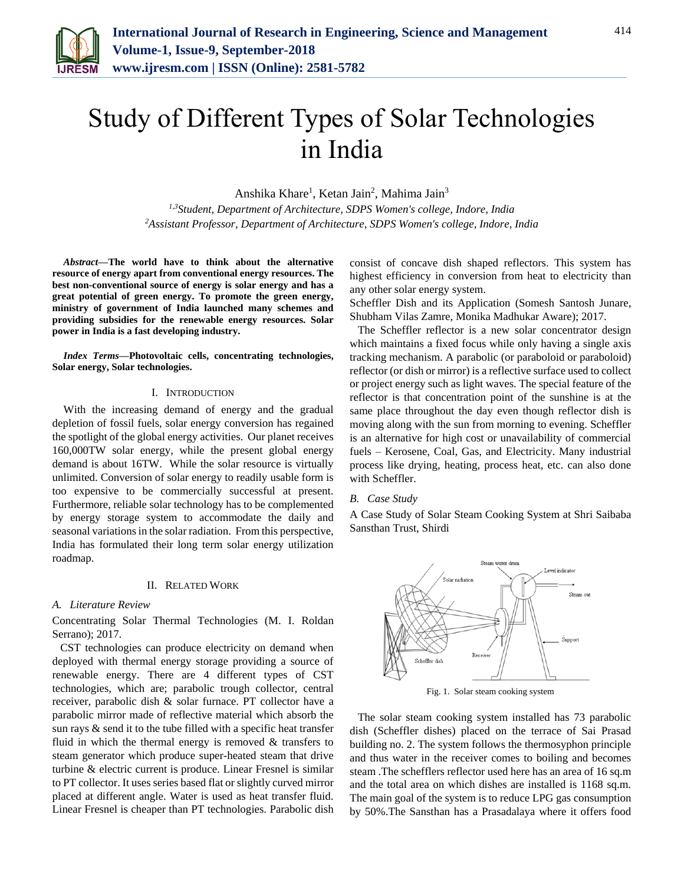

# Study of Different Types of Solar Technologies in India

Anshika Khare<sup>1</sup>, Ketan Jain<sup>2</sup>, Mahima Jain<sup>3</sup>

*1,3Student, Department of Architecture, SDPS Women's college, Indore, India <sup>2</sup>Assistant Professor, Department of Architecture, SDPS Women's college, Indore, India*

*Abstract***—The world have to think about the alternative resource of energy apart from conventional energy resources. The best non-conventional source of energy is solar energy and has a great potential of green energy. To promote the green energy, ministry of government of India launched many schemes and providing subsidies for the renewable energy resources. Solar power in India is a fast developing industry.**

*Index Terms***—Photovoltaic cells, concentrating technologies, Solar energy, Solar technologies.**

#### I. INTRODUCTION

With the increasing demand of energy and the gradual depletion of fossil fuels, solar energy conversion has regained the spotlight of the global energy activities. Our planet receives 160,000TW solar energy, while the present global energy demand is about 16TW. While the solar resource is virtually unlimited. Conversion of solar energy to readily usable form is too expensive to be commercially successful at present. Furthermore, reliable solar technology has to be complemented by energy storage system to accommodate the daily and seasonal variations in the solar radiation. From this perspective, India has formulated their long term solar energy utilization roadmap.

## II. RELATED WORK

#### *A. Literature Review*

Concentrating Solar Thermal Technologies (M. I. Roldan Serrano); 2017.

CST technologies can produce electricity on demand when deployed with thermal energy storage providing a source of renewable energy. There are 4 different types of CST technologies, which are; parabolic trough collector, central receiver, parabolic dish & solar furnace. PT collector have a parabolic mirror made of reflective material which absorb the sun rays & send it to the tube filled with a specific heat transfer fluid in which the thermal energy is removed  $&$  transfers to steam generator which produce super-heated steam that drive turbine & electric current is produce. Linear Fresnel is similar to PT collector. It uses series based flat or slightly curved mirror placed at different angle. Water is used as heat transfer fluid. Linear Fresnel is cheaper than PT technologies. Parabolic dish

consist of concave dish shaped reflectors. This system has highest efficiency in conversion from heat to electricity than any other solar energy system.

Scheffler Dish and its Application (Somesh Santosh Junare, Shubham Vilas Zamre, Monika Madhukar Aware); 2017.

The Scheffler reflector is a new solar concentrator design which maintains a fixed focus while only having a single axis tracking mechanism. A parabolic (or paraboloid or paraboloid) reflector (or dish or mirror) is a reflective surface used to collect or project energy such as light waves. The special feature of the reflector is that concentration point of the sunshine is at the same place throughout the day even though reflector dish is moving along with the sun from morning to evening. Scheffler is an alternative for high cost or unavailability of commercial fuels – Kerosene, Coal, Gas, and Electricity. Many industrial process like drying, heating, process heat, etc. can also done with Scheffler.

# *B. Case Study*

A Case Study of Solar Steam Cooking System at Shri Saibaba Sansthan Trust, Shirdi



Fig. 1. Solar steam cooking system

The solar steam cooking system installed has 73 parabolic dish (Scheffler dishes) placed on the terrace of Sai Prasad building no. 2. The system follows the thermosyphon principle and thus water in the receiver comes to boiling and becomes steam .The schefflers reflector used here has an area of 16 sq.m and the total area on which dishes are installed is 1168 sq.m. The main goal of the system is to reduce LPG gas consumption by 50%.The Sansthan has a Prasadalaya where it offers food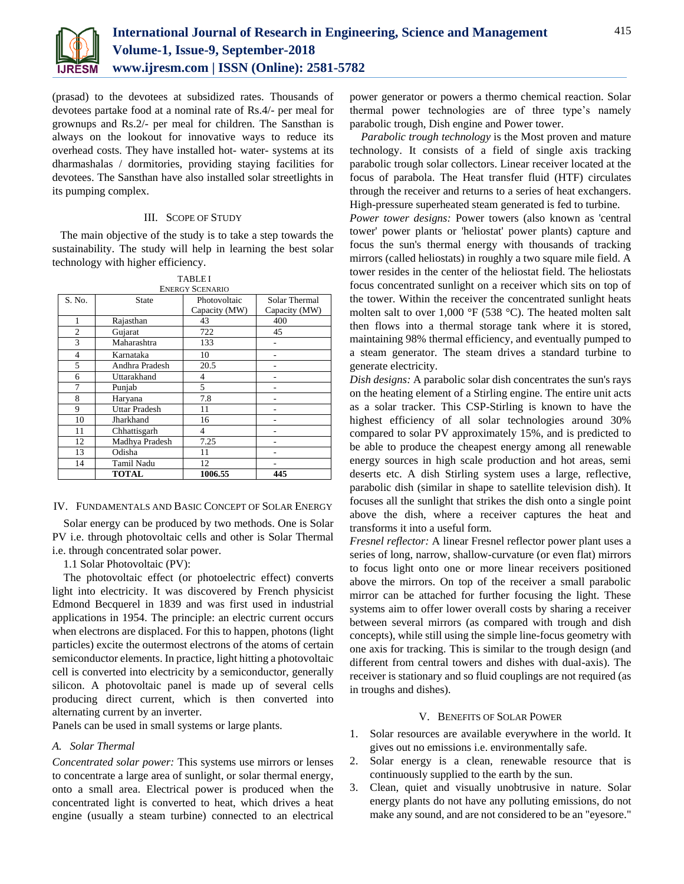

(prasad) to the devotees at subsidized rates. Thousands of devotees partake food at a nominal rate of Rs.4/- per meal for grownups and Rs.2/- per meal for children. The Sansthan is always on the lookout for innovative ways to reduce its overhead costs. They have installed hot- water- systems at its dharmashalas / dormitories, providing staying facilities for devotees. The Sansthan have also installed solar streetlights in its pumping complex.

# III. SCOPE OF STUDY

The main objective of the study is to take a step towards the sustainability. The study will help in learning the best solar technology with higher efficiency.

|                |                      | 17DLC1<br><b>ENERGY SCENARIO</b> |                                |
|----------------|----------------------|----------------------------------|--------------------------------|
| S. No.         | <b>State</b>         | Photovoltaic<br>Capacity (MW)    | Solar Thermal<br>Capacity (MW) |
| 1              | Rajasthan            | 43                               | 400                            |
| $\overline{c}$ | Gujarat              | 722                              | 45                             |
| 3              | Maharashtra          | 133                              |                                |
| 4              | Karnataka            | 10                               |                                |
| 5              | Andhra Pradesh       | 20.5                             |                                |
| 6              | Uttarakhand          | 4                                |                                |
| 7              | Punjab               | 5                                |                                |
| 8              | Haryana              | 7.8                              |                                |
| 9              | <b>Uttar Pradesh</b> | 11                               |                                |
| 10             | Jharkhand            | 16                               |                                |
| 11             | Chhattisgarh         | 4                                |                                |
| 12             | Madhya Pradesh       | 7.25                             |                                |
| 13             | Odisha               | 11                               |                                |
| 14             | <b>Tamil Nadu</b>    | 12                               |                                |
|                | <b>TOTAL</b>         | 1006.55                          | 445                            |

TABLE I

#### IV. FUNDAMENTALS AND BASIC CONCEPT OF SOLAR ENERGY

Solar energy can be produced by two methods. One is Solar PV i.e. through photovoltaic cells and other is Solar Thermal i.e. through concentrated solar power.

1.1 Solar Photovoltaic (PV):

The photovoltaic effect (or photoelectric effect) converts light into electricity. It was discovered by French physicist Edmond Becquerel in 1839 and was first used in industrial applications in 1954. The principle: an electric current occurs when electrons are displaced. For this to happen, photons (light particles) excite the outermost electrons of the atoms of certain semiconductor elements. In practice, light hitting a photovoltaic cell is converted into electricity by a semiconductor, generally silicon. A photovoltaic panel is made up of several cells producing direct current, which is then converted into alternating current by an inverter.

Panels can be used in small systems or large plants.

# *A. Solar Thermal*

*Concentrated solar power:* This systems use mirrors or lenses to concentrate a large area of sunlight, or solar thermal energy, onto a small area. Electrical power is produced when the concentrated light is converted to heat, which drives a heat engine (usually a steam turbine) connected to an electrical

power generator or powers a thermo chemical reaction. Solar thermal power technologies are of three type's namely parabolic trough, Dish engine and Power tower.

*Parabolic trough technology* is the Most proven and mature technology. It consists of a field of single axis tracking parabolic trough solar collectors. Linear receiver located at the focus of parabola. The Heat transfer fluid (HTF) circulates through the receiver and returns to a series of heat exchangers. High-pressure superheated steam generated is fed to turbine.

*Power tower designs:* Power towers (also known as 'central tower' power plants or 'heliostat' power plants) capture and focus the sun's thermal energy with thousands of tracking mirrors (called heliostats) in roughly a two square mile field. A tower resides in the center of the heliostat field. The heliostats focus concentrated sunlight on a receiver which sits on top of the tower. Within the receiver the concentrated sunlight heats molten salt to over 1,000 °F (538 °C). The heated molten salt then flows into a thermal storage tank where it is stored, maintaining 98% thermal efficiency, and eventually pumped to a steam generator. The steam drives a standard turbine to generate electricity.

*Dish designs:* A parabolic solar dish concentrates the sun's rays on the heating element of a Stirling engine. The entire unit acts as a solar tracker. This CSP-Stirling is known to have the highest efficiency of all solar technologies around 30% compared to solar PV approximately 15%, and is predicted to be able to produce the cheapest energy among all renewable energy sources in high scale production and hot areas, semi deserts etc. A dish Stirling system uses a large, reflective, parabolic dish (similar in shape to satellite television dish). It focuses all the sunlight that strikes the dish onto a single point above the dish, where a receiver captures the heat and transforms it into a useful form.

*Fresnel reflector:* A linear Fresnel reflector power plant uses a series of long, narrow, shallow-curvature (or even flat) mirrors to focus light onto one or more linear receivers positioned above the mirrors. On top of the receiver a small parabolic mirror can be attached for further focusing the light. These systems aim to offer lower overall costs by sharing a receiver between several mirrors (as compared with trough and dish concepts), while still using the simple line-focus geometry with one axis for tracking. This is similar to the trough design (and different from central towers and dishes with dual-axis). The receiver is stationary and so fluid couplings are not required (as in troughs and dishes).

# V. BENEFITS OF SOLAR POWER

- 1. Solar resources are available everywhere in the world. It gives out no emissions i.e. environmentally safe.
- 2. Solar energy is a clean, renewable resource that is continuously supplied to the earth by the sun.
- 3. Clean, quiet and visually unobtrusive in nature. Solar energy plants do not have any polluting emissions, do not make any sound, and are not considered to be an "eyesore."